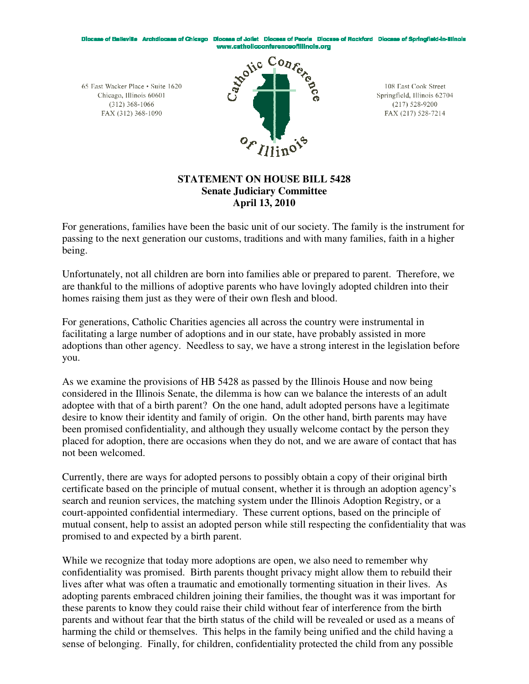Diocese of Belleville Archdiocese of Chicago Diocese of Joliet Diocese of Peoria Diocese of Rockford Diocese of Springfield-in-Illinois www.catholicconferenceofillinois.org

65 East Wacker Place • Suite 1620 Chicago, Illinois 60601  $(312)$  368-1066 FAX (312) 368-1090



108 East Cook Street Springfield, Illinois 62704  $(217)$  528-9200 FAX (217) 528-7214

# **STATEMENT ON HOUSE BILL 5428 Senate Judiciary Committee April 13, 2010**

For generations, families have been the basic unit of our society. The family is the instrument for passing to the next generation our customs, traditions and with many families, faith in a higher being.

Unfortunately, not all children are born into families able or prepared to parent. Therefore, we are thankful to the millions of adoptive parents who have lovingly adopted children into their homes raising them just as they were of their own flesh and blood.

For generations, Catholic Charities agencies all across the country were instrumental in facilitating a large number of adoptions and in our state, have probably assisted in more adoptions than other agency. Needless to say, we have a strong interest in the legislation before you.

As we examine the provisions of HB 5428 as passed by the Illinois House and now being considered in the Illinois Senate, the dilemma is how can we balance the interests of an adult adoptee with that of a birth parent? On the one hand, adult adopted persons have a legitimate desire to know their identity and family of origin. On the other hand, birth parents may have been promised confidentiality, and although they usually welcome contact by the person they placed for adoption, there are occasions when they do not, and we are aware of contact that has not been welcomed.

Currently, there are ways for adopted persons to possibly obtain a copy of their original birth certificate based on the principle of mutual consent, whether it is through an adoption agency's search and reunion services, the matching system under the Illinois Adoption Registry, or a court-appointed confidential intermediary. These current options, based on the principle of mutual consent, help to assist an adopted person while still respecting the confidentiality that was promised to and expected by a birth parent.

While we recognize that today more adoptions are open, we also need to remember why confidentiality was promised. Birth parents thought privacy might allow them to rebuild their lives after what was often a traumatic and emotionally tormenting situation in their lives. As adopting parents embraced children joining their families, the thought was it was important for these parents to know they could raise their child without fear of interference from the birth parents and without fear that the birth status of the child will be revealed or used as a means of harming the child or themselves. This helps in the family being unified and the child having a sense of belonging. Finally, for children, confidentiality protected the child from any possible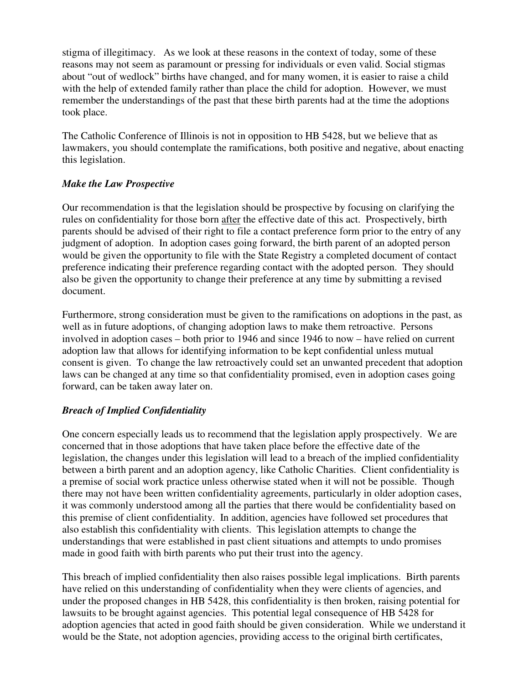stigma of illegitimacy. As we look at these reasons in the context of today, some of these reasons may not seem as paramount or pressing for individuals or even valid. Social stigmas about "out of wedlock" births have changed, and for many women, it is easier to raise a child with the help of extended family rather than place the child for adoption. However, we must remember the understandings of the past that these birth parents had at the time the adoptions took place.

The Catholic Conference of Illinois is not in opposition to HB 5428, but we believe that as lawmakers, you should contemplate the ramifications, both positive and negative, about enacting this legislation.

# *Make the Law Prospective*

Our recommendation is that the legislation should be prospective by focusing on clarifying the rules on confidentiality for those born after the effective date of this act. Prospectively, birth parents should be advised of their right to file a contact preference form prior to the entry of any judgment of adoption. In adoption cases going forward, the birth parent of an adopted person would be given the opportunity to file with the State Registry a completed document of contact preference indicating their preference regarding contact with the adopted person. They should also be given the opportunity to change their preference at any time by submitting a revised document.

Furthermore, strong consideration must be given to the ramifications on adoptions in the past, as well as in future adoptions, of changing adoption laws to make them retroactive. Persons involved in adoption cases – both prior to 1946 and since 1946 to now – have relied on current adoption law that allows for identifying information to be kept confidential unless mutual consent is given. To change the law retroactively could set an unwanted precedent that adoption laws can be changed at any time so that confidentiality promised, even in adoption cases going forward, can be taken away later on.

# *Breach of Implied Confidentiality*

One concern especially leads us to recommend that the legislation apply prospectively. We are concerned that in those adoptions that have taken place before the effective date of the legislation, the changes under this legislation will lead to a breach of the implied confidentiality between a birth parent and an adoption agency, like Catholic Charities. Client confidentiality is a premise of social work practice unless otherwise stated when it will not be possible. Though there may not have been written confidentiality agreements, particularly in older adoption cases, it was commonly understood among all the parties that there would be confidentiality based on this premise of client confidentiality. In addition, agencies have followed set procedures that also establish this confidentiality with clients. This legislation attempts to change the understandings that were established in past client situations and attempts to undo promises made in good faith with birth parents who put their trust into the agency.

This breach of implied confidentiality then also raises possible legal implications. Birth parents have relied on this understanding of confidentiality when they were clients of agencies, and under the proposed changes in HB 5428, this confidentiality is then broken, raising potential for lawsuits to be brought against agencies. This potential legal consequence of HB 5428 for adoption agencies that acted in good faith should be given consideration. While we understand it would be the State, not adoption agencies, providing access to the original birth certificates,